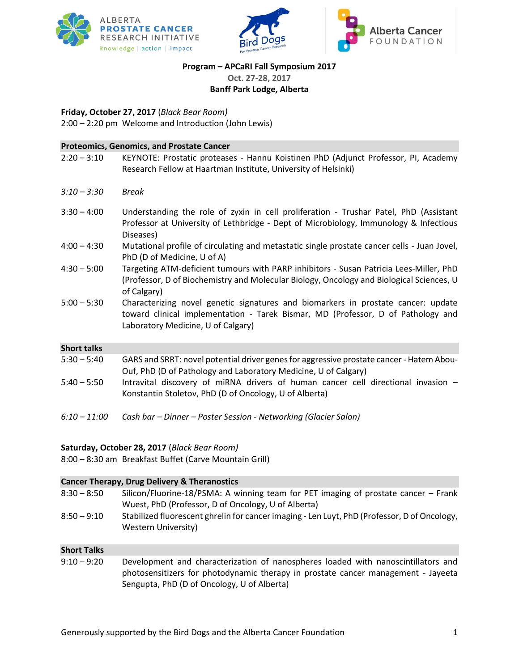





# **Program – APCaRI Fall Symposium 2017**

**Oct. 27-28, 2017**

**Banff Park Lodge, Alberta**

**Friday, October 27, 2017** (*Black Bear Room)*

2:00 – 2:20 pm Welcome and Introduction (John Lewis)

|                    | <b>Proteomics, Genomics, and Prostate Cancer</b>                                                                                                                                                            |
|--------------------|-------------------------------------------------------------------------------------------------------------------------------------------------------------------------------------------------------------|
| $2:20 - 3:10$      | KEYNOTE: Prostatic proteases - Hannu Koistinen PhD (Adjunct Professor, PI, Academy<br>Research Fellow at Haartman Institute, University of Helsinki)                                                        |
|                    |                                                                                                                                                                                                             |
| $3:10 - 3:30$      | <b>Break</b>                                                                                                                                                                                                |
| $3:30 - 4:00$      | Understanding the role of zyxin in cell proliferation - Trushar Patel, PhD (Assistant<br>Professor at University of Lethbridge - Dept of Microbiology, Immunology & Infectious<br>Diseases)                 |
| $4:00 - 4:30$      | Mutational profile of circulating and metastatic single prostate cancer cells - Juan Jovel,<br>PhD (D of Medicine, U of A)                                                                                  |
| $4:30 - 5:00$      | Targeting ATM-deficient tumours with PARP inhibitors - Susan Patricia Lees-Miller, PhD<br>(Professor, D of Biochemistry and Molecular Biology, Oncology and Biological Sciences, U<br>of Calgary)           |
| $5:00 - 5:30$      | Characterizing novel genetic signatures and biomarkers in prostate cancer: update<br>toward clinical implementation - Tarek Bismar, MD (Professor, D of Pathology and<br>Laboratory Medicine, U of Calgary) |
| <b>Short talks</b> |                                                                                                                                                                                                             |
| $5:30 - 5:40$      | GARS and SRRT: novel potential driver genes for aggressive prostate cancer - Hatem Abou-<br>Ouf, PhD (D of Pathology and Laboratory Medicine, U of Calgary)                                                 |
| $5:40 - 5:50$      | Intravital discovery of miRNA drivers of human cancer cell directional invasion -<br>Konstantin Stoletov, PhD (D of Oncology, U of Alberta)                                                                 |
| $6:10 - 11:00$     | Cash bar - Dinner - Poster Session - Networking (Glacier Salon)                                                                                                                                             |

#### **Saturday, October 28, 2017** (*Black Bear Room)*

8:00 – 8:30 am Breakfast Buffet (Carve Mountain Grill)

|                    | <b>Cancer Therapy, Drug Delivery &amp; Theranostics</b>                                                                                    |
|--------------------|--------------------------------------------------------------------------------------------------------------------------------------------|
| $8:30 - 8:50$      | Silicon/Fluorine-18/PSMA: A winning team for PET imaging of prostate cancer – Frank<br>Wuest, PhD (Professor, D of Oncology, U of Alberta) |
| $8:50 - 9:10$      | Stabilized fluorescent ghrelin for cancer imaging - Len Luyt, PhD (Professor, D of Oncology,<br><b>Western University)</b>                 |
| <b>Short Talks</b> |                                                                                                                                            |

9:10 – 9:20 Development and characterization of nanospheres loaded with nanoscintillators and photosensitizers for photodynamic therapy in prostate cancer management - Jayeeta Sengupta, PhD (D of Oncology, U of Alberta)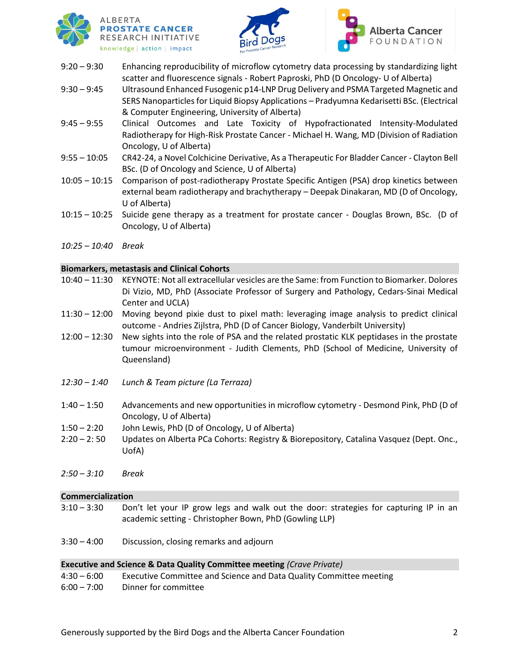





- 9:20 9:30 Enhancing reproducibility of microflow cytometry data processing by standardizing light scatter and fluorescence signals - Robert Paproski, PhD (D Oncology- U of Alberta)
- 9:30 9:45 Ultrasound Enhanced Fusogenic p14-LNP Drug Delivery and PSMA Targeted Magnetic and SERS Nanoparticles for Liquid Biopsy Applications – Pradyumna Kedarisetti BSc. (Electrical & Computer Engineering, University of Alberta)
- 9:45 9:55 Clinical Outcomes and Late Toxicity of Hypofractionated Intensity-Modulated Radiotherapy for High-Risk Prostate Cancer - Michael H. Wang, MD (Division of Radiation Oncology, U of Alberta)
- 9:55 10:05 CR42-24, a Novel Colchicine Derivative, As a Therapeutic For Bladder Cancer Clayton Bell BSc. (D of Oncology and Science, U of Alberta)
- 10:05 10:15 Comparison of post-radiotherapy Prostate Specific Antigen (PSA) drop kinetics between external beam radiotherapy and brachytherapy – Deepak Dinakaran, MD (D of Oncology, U of Alberta)
- 10:15 10:25 Suicide gene therapy as a treatment for prostate cancer Douglas Brown, BSc. (D of Oncology, U of Alberta)
- *10:25 – 10:40 Break*

#### **Biomarkers, metastasis and Clinical Cohorts**

- 10:40 11:30 KEYNOTE: Not all extracellular vesicles are the Same: from Function to Biomarker. Dolores Di Vizio, MD, PhD (Associate Professor of Surgery and Pathology, Cedars-Sinai Medical Center and UCLA)
- 11:30 12:00 Moving beyond pixie dust to pixel math: leveraging image analysis to predict clinical outcome - Andries Zijlstra, PhD (D of Cancer Biology, Vanderbilt University)
- 12:00 12:30 New sights into the role of PSA and the related prostatic KLK peptidases in the prostate tumour microenvironment - Judith Clements, PhD (School of Medicine, University of Queensland)
- *12:30 – 1:40 Lunch & Team picture (La Terraza)*
- 1:40 1:50 Advancements and new opportunities in microflow cytometry Desmond Pink, PhD (D of Oncology, U of Alberta)
- 1:50 2:20 John Lewis, PhD (D of Oncology, U of Alberta)
- 2:20 2: 50 Updates on Alberta PCa Cohorts: Registry & Biorepository, Catalina Vasquez (Dept. Onc., UofA)
- *2:50 – 3:10 Break*

#### **Commercialization**

- 3:10 3:30 Don't let your IP grow legs and walk out the door: strategies for capturing IP in an academic setting - Christopher Bown, PhD (Gowling LLP)
- 3:30 4:00 Discussion, closing remarks and adjourn

#### **Executive and Science & Data Quality Committee meeting** *(Crave Private)*

| $4:30 - 6:00$ | Executive Committee and Science and Data Quality Committee meeting |
|---------------|--------------------------------------------------------------------|
| $6:00 - 7:00$ | Dinner for committee                                               |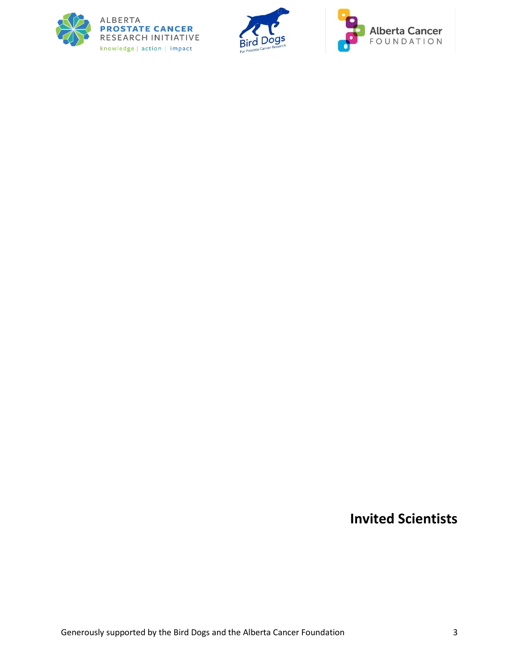





**Invited Scientists**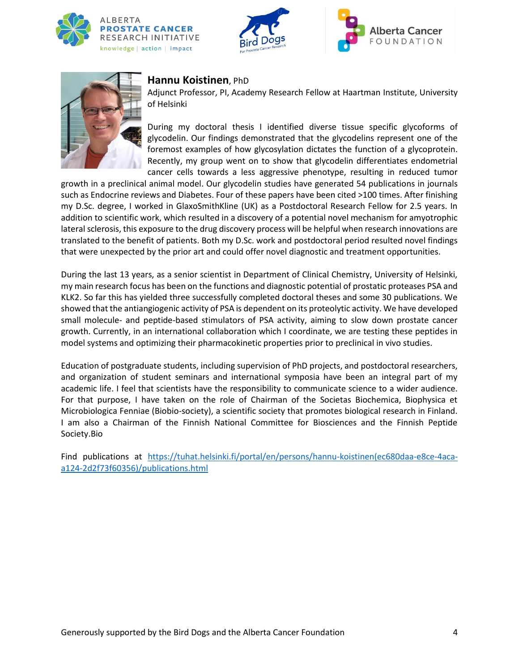







### **Hannu Koistinen**, PhD

Adjunct Professor, PI, Academy Research Fellow at Haartman Institute, University of Helsinki

During my doctoral thesis I identified diverse tissue specific glycoforms of glycodelin. Our findings demonstrated that the glycodelins represent one of the foremost examples of how glycosylation dictates the function of a glycoprotein. Recently, my group went on to show that glycodelin differentiates endometrial cancer cells towards a less aggressive phenotype, resulting in reduced tumor

growth in a preclinical animal model. Our glycodelin studies have generated 54 publications in journals such as Endocrine reviews and Diabetes. Four of these papers have been cited >100 times. After finishing my D.Sc. degree, I worked in GlaxoSmithKline (UK) as a Postdoctoral Research Fellow for 2.5 years. In addition to scientific work, which resulted in a discovery of a potential novel mechanism for amyotrophic lateral sclerosis, this exposure to the drug discovery process will be helpful when research innovations are translated to the benefit of patients. Both my D.Sc. work and postdoctoral period resulted novel findings that were unexpected by the prior art and could offer novel diagnostic and treatment opportunities.

During the last 13 years, as a senior scientist in Department of Clinical Chemistry, University of Helsinki, my main research focus has been on the functions and diagnostic potential of prostatic proteases PSA and KLK2. So far this has yielded three successfully completed doctoral theses and some 30 publications. We showed that the antiangiogenic activity of PSA is dependent on its proteolytic activity. We have developed small molecule- and peptide-based stimulators of PSA activity, aiming to slow down prostate cancer growth. Currently, in an international collaboration which I coordinate, we are testing these peptides in model systems and optimizing their pharmacokinetic properties prior to preclinical in vivo studies.

Education of postgraduate students, including supervision of PhD projects, and postdoctoral researchers, and organization of student seminars and international symposia have been an integral part of my academic life. I feel that scientists have the responsibility to communicate science to a wider audience. For that purpose, I have taken on the role of Chairman of the Societas Biochemica, Biophysica et Microbiologica Fenniae (Biobio-society), a scientific society that promotes biological research in Finland. I am also a Chairman of the Finnish National Committee for Biosciences and the Finnish Peptide Society.Bio

Find publications at [https://tuhat.helsinki.fi/portal/en/persons/hannu-koistinen\(ec680daa-e8ce-4aca](https://tuhat.helsinki.fi/portal/en/persons/hannu-koistinen(ec680daa-e8ce-4aca-a124-2d2f73f60356)/publications.html)[a124-2d2f73f60356\)/publications.html](https://tuhat.helsinki.fi/portal/en/persons/hannu-koistinen(ec680daa-e8ce-4aca-a124-2d2f73f60356)/publications.html)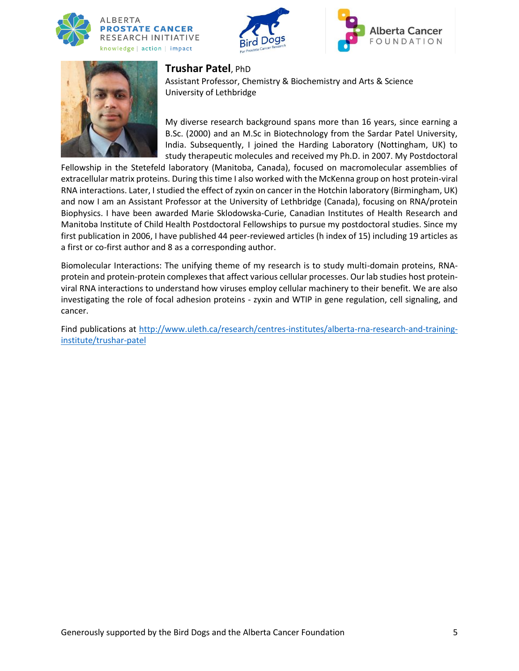







### **Trushar Patel**, PhD

Assistant Professor, Chemistry & Biochemistry and Arts & Science University of Lethbridge

My diverse research background spans more than 16 years, since earning a B.Sc. (2000) and an M.Sc in Biotechnology from the Sardar Patel University, India. Subsequently, I joined the Harding Laboratory (Nottingham, UK) to study therapeutic molecules and received my Ph.D. in 2007. My Postdoctoral

Fellowship in the Stetefeld laboratory (Manitoba, Canada), focused on macromolecular assemblies of extracellular matrix proteins. During this time I also worked with the McKenna group on host protein-viral RNA interactions. Later, I studied the effect of zyxin on cancer in the Hotchin laboratory (Birmingham, UK) and now I am an Assistant Professor at the University of Lethbridge (Canada), focusing on RNA/protein Biophysics. I have been awarded Marie Sklodowska-Curie, Canadian Institutes of Health Research and Manitoba Institute of Child Health Postdoctoral Fellowships to pursue my postdoctoral studies. Since my first publication in 2006, I have published 44 peer-reviewed articles (h index of 15) including 19 articles as a first or co-first author and 8 as a corresponding author.

Biomolecular Interactions: The unifying theme of my research is to study multi-domain proteins, RNAprotein and protein-protein complexes that affect various cellular processes. Our lab studies host proteinviral RNA interactions to understand how viruses employ cellular machinery to their benefit. We are also investigating the role of focal adhesion proteins - zyxin and WTIP in gene regulation, cell signaling, and cancer.

Find publications at [http://www.uleth.ca/research/centres-institutes/alberta-rna-research-and-training](http://www.uleth.ca/research/centres-institutes/alberta-rna-research-and-training-institute/trushar-patel)[institute/trushar-patel](http://www.uleth.ca/research/centres-institutes/alberta-rna-research-and-training-institute/trushar-patel)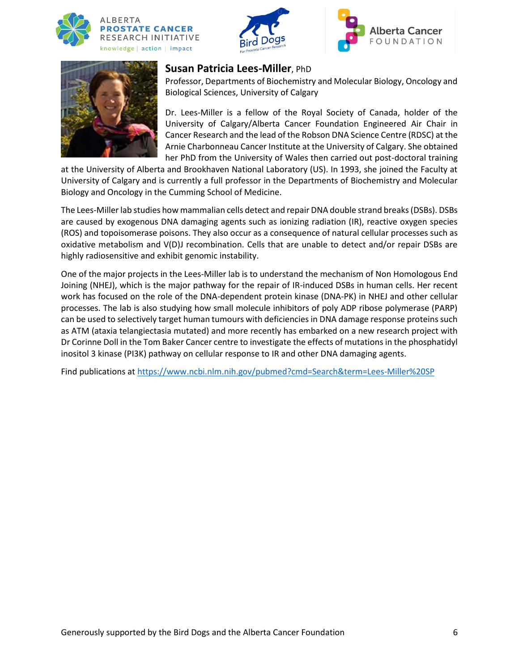







# **Susan Patricia Lees-Miller**, PhD

Professor, Departments of Biochemistry and Molecular Biology, Oncology and Biological Sciences, University of Calgary

Dr. Lees-Miller is a fellow of the Royal Society of Canada, holder of the University of Calgary/Alberta Cancer Foundation Engineered Air Chair in Cancer Research and the lead of the Robson DNA Science Centre (RDSC) at the Arnie Charbonneau Cancer Institute at the University of Calgary. She obtained her PhD from the University of Wales then carried out post-doctoral training

at the University of Alberta and Brookhaven National Laboratory (US). In 1993, she joined the Faculty at University of Calgary and is currently a full professor in the Departments of Biochemistry and Molecular Biology and Oncology in the Cumming School of Medicine.

The Lees-Miller lab studies how mammalian cells detect and repair DNA double strand breaks (DSBs). DSBs are caused by exogenous DNA damaging agents such as ionizing radiation (IR), reactive oxygen species (ROS) and topoisomerase poisons. They also occur as a consequence of natural cellular processes such as oxidative metabolism and V(D)J recombination. Cells that are unable to detect and/or repair DSBs are highly radiosensitive and exhibit genomic instability.

One of the major projects in the Lees-Miller lab is to understand the mechanism of Non Homologous End Joining (NHEJ), which is the major pathway for the repair of IR-induced DSBs in human cells. Her recent work has focused on the role of the DNA-dependent protein kinase (DNA-PK) in NHEJ and other cellular processes. The lab is also studying how small molecule inhibitors of poly ADP ribose polymerase (PARP) can be used to selectively target human tumours with deficiencies in DNA damage response proteins such as ATM (ataxia telangiectasia mutated) and more recently has embarked on a new research project with Dr Corinne Doll in the Tom Baker Cancer centre to investigate the effects of mutations in the phosphatidyl inositol 3 kinase (PI3K) pathway on cellular response to IR and other DNA damaging agents.

Find publications at<https://www.ncbi.nlm.nih.gov/pubmed?cmd=Search&term=Lees-Miller%20SP>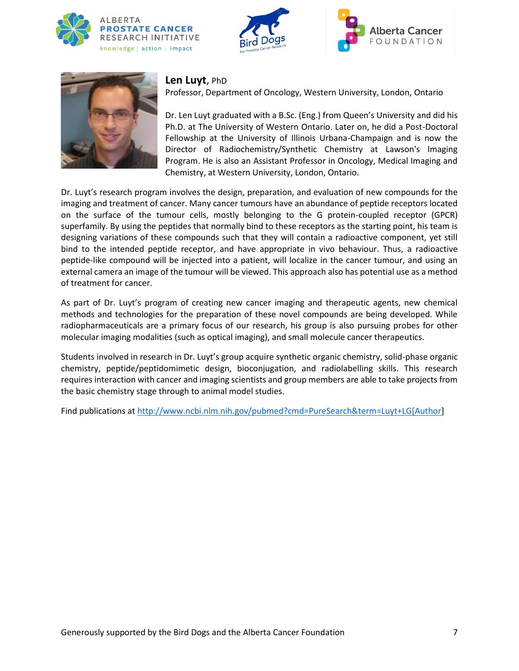







# **Len Luyt**, PhD

Professor, Department of Oncology, Western University, London, Ontario

Dr. Len Luyt graduated with a B.Sc. (Eng.) from Queen's University and did his Ph.D. at The University of Western Ontario. Later on, he did a Post-Doctoral Fellowship at the University of Illinois Urbana-Champaign and is now the Director of Radiochemistry/Synthetic Chemistry at Lawson's Imaging Program. He is also an Assistant Professor in Oncology, Medical Imaging and Chemistry, at Western University, London, Ontario.

Dr. Luyt's research program involves the design, preparation, and evaluation of new compounds for the imaging and treatment of cancer. Many cancer tumours have an abundance of peptide receptors located on the surface of the tumour cells, mostly belonging to the G protein-coupled receptor (GPCR) superfamily. By using the peptides that normally bind to these receptors as the starting point, his team is designing variations of these compounds such that they will contain a radioactive component, yet still bind to the intended peptide receptor, and have appropriate in vivo behaviour. Thus, a radioactive peptide-like compound will be injected into a patient, will localize in the cancer tumour, and using an external camera an image of the tumour will be viewed. This approach also has potential use as a method of treatment for cancer.

As part of Dr. Luyt's program of creating new cancer imaging and therapeutic agents, new chemical methods and technologies for the preparation of these novel compounds are being developed. While radiopharmaceuticals are a primary focus of our research, his group is also pursuing probes for other molecular imaging modalities (such as optical imaging), and small molecule cancer therapeutics.

Students involved in research in Dr. Luyt's group acquire synthetic organic chemistry, solid-phase organic chemistry, peptide/peptidomimetic design, bioconjugation, and radiolabelling skills. This research requires interaction with cancer and imaging scientists and group members are able to take projects from the basic chemistry stage through to animal model studies.

Find publications at [http://www.ncbi.nlm.nih.gov/pubmed?cmd=PureSearch&term=Luyt+LG\[Author\]](http://www.ncbi.nlm.nih.gov/pubmed?cmd=PureSearch&term=Luyt+LG%5bAuthor)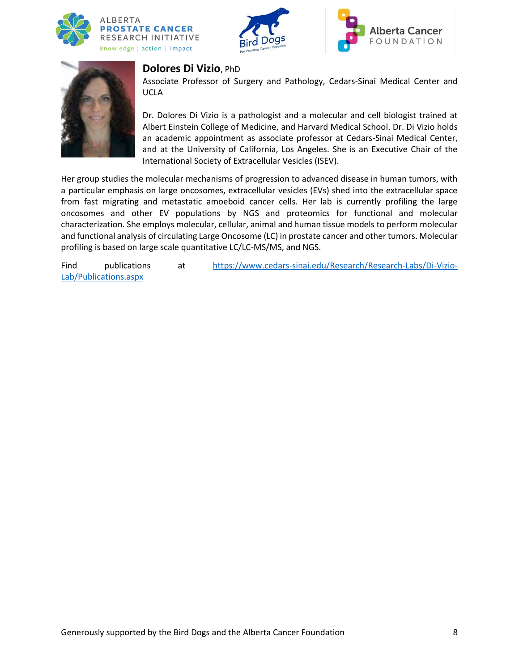







#### **Dolores Di Vizio**, PhD

Associate Professor of Surgery and Pathology, Cedars-Sinai Medical Center and UCLA

Dr. Dolores Di Vizio is a pathologist and a molecular and cell biologist trained at Albert Einstein College of Medicine, and Harvard Medical School. Dr. Di Vizio holds an academic appointment as associate professor at Cedars-Sinai Medical Center, and at the University of California, Los Angeles. She is an Executive Chair of the International Society of Extracellular Vesicles (ISEV).

Her group studies the molecular mechanisms of progression to advanced disease in human tumors, with a particular emphasis on large oncosomes, extracellular vesicles (EVs) shed into the extracellular space from fast migrating and metastatic amoeboid cancer cells. Her lab is currently profiling the large oncosomes and other EV populations by NGS and proteomics for functional and molecular characterization. She employs molecular, cellular, animal and human tissue models to perform molecular and functional analysis of circulating Large Oncosome (LC) in prostate cancer and other tumors. Molecular profiling is based on large scale quantitative LC/LC-MS/MS, and NGS.

Find publications at [https://www.cedars-sinai.edu/Research/Research-Labs/Di-Vizio-](https://www.cedars-sinai.edu/Research/Research-Labs/Di-Vizio-Lab/Publications.aspx)[Lab/Publications.aspx](https://www.cedars-sinai.edu/Research/Research-Labs/Di-Vizio-Lab/Publications.aspx)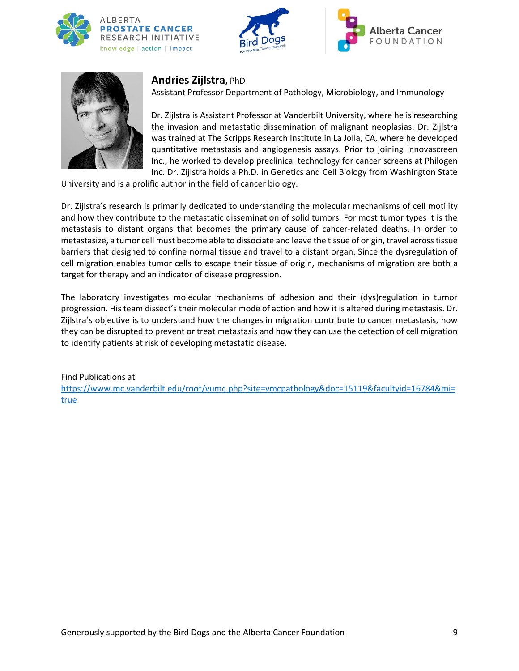







### **Andries Zijlstra,** PhD

Assistant Professor Department of Pathology, Microbiology, and Immunology

Dr. Zijlstra is Assistant Professor at Vanderbilt University, where he is researching the invasion and metastatic dissemination of malignant neoplasias. Dr. Zijlstra was trained at The Scripps Research Institute in La Jolla, CA, where he developed quantitative metastasis and angiogenesis assays. Prior to joining Innovascreen Inc., he worked to develop preclinical technology for cancer screens at Philogen Inc. Dr. Zijlstra holds a Ph.D. in Genetics and Cell Biology from Washington State

University and is a prolific author in the field of cancer biology.

Dr. Zijlstra's research is primarily dedicated to understanding the molecular mechanisms of cell motility and how they contribute to the metastatic dissemination of solid tumors. For most tumor types it is the metastasis to distant organs that becomes the primary cause of cancer-related deaths. In order to metastasize, a tumor cell must become able to dissociate and leave the tissue of origin, travel across tissue barriers that designed to confine normal tissue and travel to a distant organ. Since the dysregulation of cell migration enables tumor cells to escape their tissue of origin, mechanisms of migration are both a target for therapy and an indicator of disease progression.

The laboratory investigates molecular mechanisms of adhesion and their (dys)regulation in tumor progression. His team dissect's their molecular mode of action and how it is altered during metastasis. Dr. Zijlstra's objective is to understand how the changes in migration contribute to cancer metastasis, how they can be disrupted to prevent or treat metastasis and how they can use the detection of cell migration to identify patients at risk of developing metastatic disease.

Find Publications at [https://www.mc.vanderbilt.edu/root/vumc.php?site=vmcpathology&doc=15119&facultyid=16784&mi=](https://www.mc.vanderbilt.edu/root/vumc.php?site=vmcpathology&doc=15119&facultyid=16784&mi=true) [true](https://www.mc.vanderbilt.edu/root/vumc.php?site=vmcpathology&doc=15119&facultyid=16784&mi=true)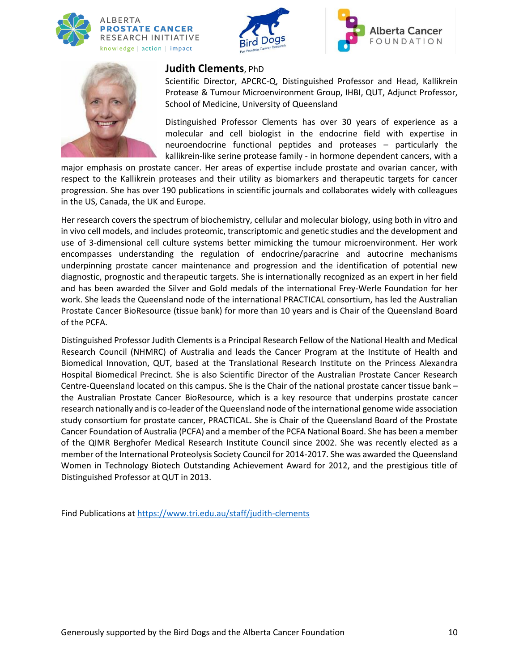







### **Judith Clements**, PhD

Scientific Director, APCRC-Q, Distinguished Professor and Head, Kallikrein Protease & Tumour Microenvironment Group, IHBI, QUT, Adjunct Professor, School of Medicine, University of Queensland

Distinguished Professor Clements has over 30 years of experience as a molecular and cell biologist in the endocrine field with expertise in neuroendocrine functional peptides and proteases – particularly the kallikrein-like serine protease family - in hormone dependent cancers, with a

major emphasis on prostate cancer. Her areas of expertise include prostate and ovarian cancer, with respect to the Kallikrein proteases and their utility as biomarkers and therapeutic targets for cancer progression. She has over 190 publications in scientific journals and collaborates widely with colleagues in the US, Canada, the UK and Europe.

Her research covers the spectrum of biochemistry, cellular and molecular biology, using both in vitro and in vivo cell models, and includes proteomic, transcriptomic and genetic studies and the development and use of 3-dimensional cell culture systems better mimicking the tumour microenvironment. Her work encompasses understanding the regulation of endocrine/paracrine and autocrine mechanisms underpinning prostate cancer maintenance and progression and the identification of potential new diagnostic, prognostic and therapeutic targets. She is internationally recognized as an expert in her field and has been awarded the Silver and Gold medals of the international Frey-Werle Foundation for her work. She leads the Queensland node of the international PRACTICAL consortium, has led the Australian Prostate Cancer BioResource (tissue bank) for more than 10 years and is Chair of the Queensland Board of the PCFA.

Distinguished Professor Judith Clements is a Principal Research Fellow of the National Health and Medical Research Council (NHMRC) of Australia and leads the Cancer Program at the Institute of Health and Biomedical Innovation, QUT, based at the Translational Research Institute on the Princess Alexandra Hospital Biomedical Precinct. She is also Scientific Director of the Australian Prostate Cancer Research Centre-Queensland located on this campus. She is the Chair of the national prostate cancer tissue bank – the Australian Prostate Cancer BioResource, which is a key resource that underpins prostate cancer research nationally and is co-leader of the Queensland node of the international genome wide association study consortium for prostate cancer, PRACTICAL. She is Chair of the Queensland Board of the Prostate Cancer Foundation of Australia (PCFA) and a member of the PCFA National Board. She has been a member of the QIMR Berghofer Medical Research Institute Council since 2002. She was recently elected as a member of the International Proteolysis Society Council for 2014-2017. She was awarded the Queensland Women in Technology Biotech Outstanding Achievement Award for 2012, and the prestigious title of Distinguished Professor at QUT in 2013.

Find Publications at<https://www.tri.edu.au/staff/judith-clements>